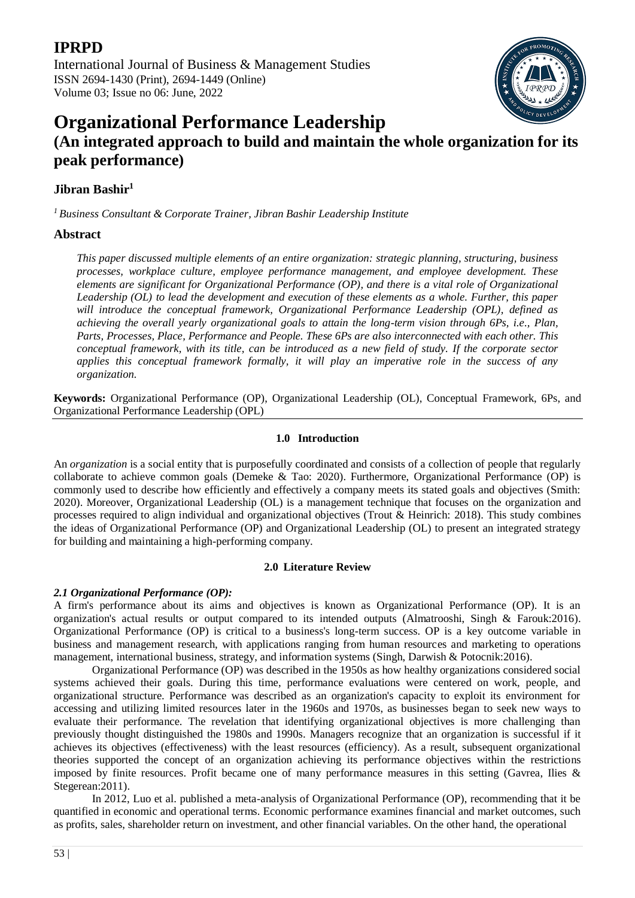International Journal of Business & Management Studies ISSN 2694-1430 (Print), 2694-1449 (Online) Volume 03; Issue no 06: June, 2022



# **Organizational Performance Leadership**

# **(An integrated approach to build and maintain the whole organization for its peak performance)**

# **Jibran Bashir<sup>1</sup>**

*<sup>1</sup>Business Consultant & Corporate Trainer, Jibran Bashir Leadership Institute*

## **Abstract**

*This paper discussed multiple elements of an entire organization: strategic planning, structuring, business processes, workplace culture, employee performance management, and employee development. These elements are significant for Organizational Performance (OP), and there is a vital role of Organizational Leadership (OL) to lead the development and execution of these elements as a whole. Further, this paper will introduce the conceptual framework, Organizational Performance Leadership (OPL), defined as achieving the overall yearly organizational goals to attain the long-term vision through 6Ps, i.e., Plan, Parts, Processes, Place, Performance and People. These 6Ps are also interconnected with each other. This conceptual framework, with its title, can be introduced as a new field of study. If the corporate sector applies this conceptual framework formally, it will play an imperative role in the success of any organization.*

**Keywords:** Organizational Performance (OP), Organizational Leadership (OL), Conceptual Framework, 6Ps, and Organizational Performance Leadership (OPL)

#### **1.0 Introduction**

An *organization* is a social entity that is purposefully coordinated and consists of a collection of people that regularly collaborate to achieve common goals (Demeke & Tao: 2020). Furthermore, Organizational Performance (OP) is commonly used to describe how efficiently and effectively a company meets its stated goals and objectives (Smith: 2020). Moreover, Organizational Leadership (OL) is a management technique that focuses on the organization and processes required to align individual and organizational objectives (Trout & Heinrich: 2018). This study combines the ideas of Organizational Performance (OP) and Organizational Leadership (OL) to present an integrated strategy for building and maintaining a high-performing company.

#### **2.0 Literature Review**

### *2.1 Organizational Performance (OP):*

A firm's performance about its aims and objectives is known as Organizational Performance (OP). It is an organization's actual results or output compared to its intended outputs (Almatrooshi, Singh & Farouk:2016). Organizational Performance (OP) is critical to a business's long-term success. OP is a key outcome variable in business and management research, with applications ranging from human resources and marketing to operations management, international business, strategy, and information systems (Singh, Darwish & Potocnik:2016).

Organizational Performance (OP) was described in the 1950s as how healthy organizations considered social systems achieved their goals. During this time, performance evaluations were centered on work, people, and organizational structure. Performance was described as an organization's capacity to exploit its environment for accessing and utilizing limited resources later in the 1960s and 1970s, as businesses began to seek new ways to evaluate their performance. The revelation that identifying organizational objectives is more challenging than previously thought distinguished the 1980s and 1990s. Managers recognize that an organization is successful if it achieves its objectives (effectiveness) with the least resources (efficiency). As a result, subsequent organizational theories supported the concept of an organization achieving its performance objectives within the restrictions imposed by finite resources. Profit became one of many performance measures in this setting (Gavrea, Ilies & Stegerean: 2011).

In 2012, Luo et al. published a meta-analysis of Organizational Performance (OP), recommending that it be quantified in economic and operational terms. Economic performance examines financial and market outcomes, such as profits, sales, shareholder return on investment, and other financial variables. On the other hand, the operational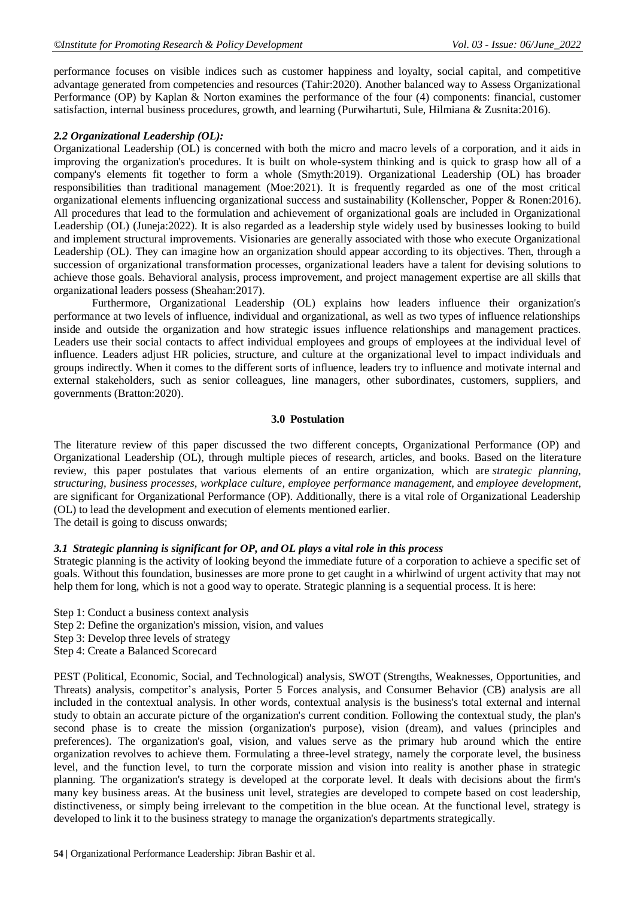performance focuses on visible indices such as customer happiness and loyalty, social capital, and competitive advantage generated from competencies and resources (Tahir:2020). Another balanced way to Assess Organizational Performance (OP) by Kaplan & Norton examines the performance of the four (4) components: financial, customer satisfaction, internal business procedures, growth, and learning (Purwihartuti, Sule, Hilmiana & Zusnita:2016).

#### *2.2 Organizational Leadership (OL):*

Organizational Leadership (OL) is concerned with both the micro and macro levels of a corporation, and it aids in improving the organization's procedures. It is built on whole-system thinking and is quick to grasp how all of a company's elements fit together to form a whole (Smyth:2019). Organizational Leadership (OL) has broader responsibilities than traditional management (Moe:2021). It is frequently regarded as one of the most critical organizational elements influencing organizational success and sustainability (Kollenscher, Popper & Ronen:2016). All procedures that lead to the formulation and achievement of organizational goals are included in Organizational Leadership (OL) (Juneja:2022). It is also regarded as a leadership style widely used by businesses looking to build and implement structural improvements. Visionaries are generally associated with those who execute Organizational Leadership (OL). They can imagine how an organization should appear according to its objectives. Then, through a succession of organizational transformation processes, organizational leaders have a talent for devising solutions to achieve those goals. Behavioral analysis, process improvement, and project management expertise are all skills that organizational leaders possess (Sheahan:2017).

Furthermore, Organizational Leadership (OL) explains how leaders influence their organization's performance at two levels of influence, individual and organizational, as well as two types of influence relationships inside and outside the organization and how strategic issues influence relationships and management practices. Leaders use their social contacts to affect individual employees and groups of employees at the individual level of influence. Leaders adjust HR policies, structure, and culture at the organizational level to impact individuals and groups indirectly. When it comes to the different sorts of influence, leaders try to influence and motivate internal and external stakeholders, such as senior colleagues, line managers, other subordinates, customers, suppliers, and governments (Bratton:2020).

#### **3.0 Postulation**

The literature review of this paper discussed the two different concepts, Organizational Performance (OP) and Organizational Leadership (OL), through multiple pieces of research, articles, and books. Based on the literature review, this paper postulates that various elements of an entire organization, which are *strategic planning, structuring, business processes, workplace culture, employee performance management,* and *employee development*, are significant for Organizational Performance (OP). Additionally, there is a vital role of Organizational Leadership (OL) to lead the development and execution of elements mentioned earlier. The detail is going to discuss onwards;

#### *3.1 Strategic planning is significant for OP, and OL plays a vital role in this process*

Strategic planning is the activity of looking beyond the immediate future of a corporation to achieve a specific set of goals. Without this foundation, businesses are more prone to get caught in a whirlwind of urgent activity that may not help them for long, which is not a good way to operate. Strategic planning is a sequential process. It is here:

- Step 1: Conduct a business context analysis
- Step 2: Define the organization's mission, vision, and values
- Step 3: Develop three levels of strategy
- Step 4: Create a Balanced Scorecard

PEST (Political, Economic, Social, and Technological) analysis, SWOT (Strengths, Weaknesses, Opportunities, and Threats) analysis, competitor's analysis, Porter 5 Forces analysis, and Consumer Behavior (CB) analysis are all included in the contextual analysis. In other words, contextual analysis is the business's total external and internal study to obtain an accurate picture of the organization's current condition. Following the contextual study, the plan's second phase is to create the mission (organization's purpose), vision (dream), and values (principles and preferences). The organization's goal, vision, and values serve as the primary hub around which the entire organization revolves to achieve them. Formulating a three-level strategy, namely the corporate level, the business level, and the function level, to turn the corporate mission and vision into reality is another phase in strategic planning. The organization's strategy is developed at the corporate level. It deals with decisions about the firm's many key business areas. At the business unit level, strategies are developed to compete based on cost leadership, distinctiveness, or simply being irrelevant to the competition in the blue ocean. At the functional level, strategy is developed to link it to the business strategy to manage the organization's departments strategically.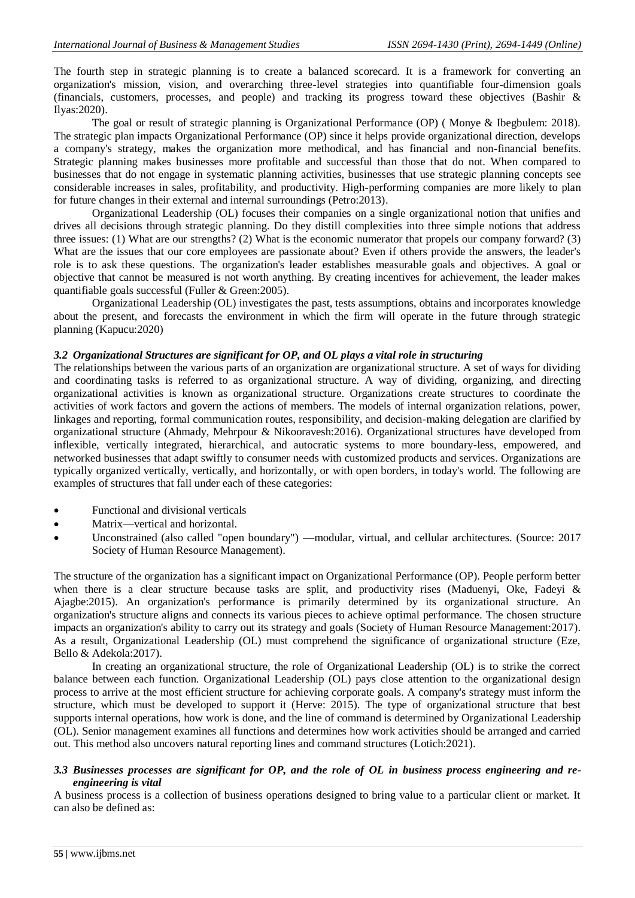The fourth step in strategic planning is to create a balanced scorecard. It is a framework for converting an organization's mission, vision, and overarching three-level strategies into quantifiable four-dimension goals (financials, customers, processes, and people) and tracking its progress toward these objectives (Bashir & Ilyas:2020).

The goal or result of strategic planning is Organizational Performance (OP) ( Monye & Ibegbulem: 2018). The strategic plan impacts Organizational Performance (OP) since it helps provide organizational direction, develops a company's strategy, makes the organization more methodical, and has financial and non-financial benefits. Strategic planning makes businesses more profitable and successful than those that do not. When compared to businesses that do not engage in systematic planning activities, businesses that use strategic planning concepts see considerable increases in sales, profitability, and productivity. High-performing companies are more likely to plan for future changes in their external and internal surroundings (Petro:2013).

Organizational Leadership (OL) focuses their companies on a single organizational notion that unifies and drives all decisions through strategic planning. Do they distill complexities into three simple notions that address three issues: (1) What are our strengths? (2) What is the economic numerator that propels our company forward? (3) What are the issues that our core employees are passionate about? Even if others provide the answers, the leader's role is to ask these questions. The organization's leader establishes measurable goals and objectives. A goal or objective that cannot be measured is not worth anything. By creating incentives for achievement, the leader makes quantifiable goals successful (Fuller & Green:2005).

Organizational Leadership (OL) investigates the past, tests assumptions, obtains and incorporates knowledge about the present, and forecasts the environment in which the firm will operate in the future through strategic planning (Kapucu:2020)

#### *3.2 Organizational Structures are significant for OP, and OL plays a vital role in structuring*

The relationships between the various parts of an organization are organizational structure. A set of ways for dividing and coordinating tasks is referred to as organizational structure. A way of dividing, organizing, and directing organizational activities is known as organizational structure. Organizations create structures to coordinate the activities of work factors and govern the actions of members. The models of internal organization relations, power, linkages and reporting, formal communication routes, responsibility, and decision-making delegation are clarified by organizational structure (Ahmady, Mehrpour & Nikooravesh:2016). Organizational structures have developed from inflexible, vertically integrated, hierarchical, and autocratic systems to more boundary-less, empowered, and networked businesses that adapt swiftly to consumer needs with customized products and services. Organizations are typically organized vertically, vertically, and horizontally, or with open borders, in today's world. The following are examples of structures that fall under each of these categories:

- Functional and divisional verticals
- Matrix—vertical and horizontal.
- Unconstrained (also called "open boundary") —modular, virtual, and cellular architectures. (Source: 2017 Society of Human Resource Management).

The structure of the organization has a significant impact on Organizational Performance (OP). People perform better when there is a clear structure because tasks are split, and productivity rises (Maduenyi, Oke, Fadeyi & Ajagbe:2015). An organization's performance is primarily determined by its organizational structure. An organization's structure aligns and connects its various pieces to achieve optimal performance. The chosen structure impacts an organization's ability to carry out its strategy and goals (Society of Human Resource Management:2017). As a result, Organizational Leadership (OL) must comprehend the significance of organizational structure (Eze, Bello & Adekola:2017).

In creating an organizational structure, the role of Organizational Leadership (OL) is to strike the correct balance between each function. Organizational Leadership (OL) pays close attention to the organizational design process to arrive at the most efficient structure for achieving corporate goals. A company's strategy must inform the structure, which must be developed to support it (Herve: 2015). The type of organizational structure that best supports internal operations, how work is done, and the line of command is determined by Organizational Leadership (OL). Senior management examines all functions and determines how work activities should be arranged and carried out. This method also uncovers natural reporting lines and command structures (Lotich:2021).

#### *3.3 Businesses processes are significant for OP, and the role of OL in business process engineering and reengineering is vital*

A business process is a collection of business operations designed to bring value to a particular client or market. It can also be defined as: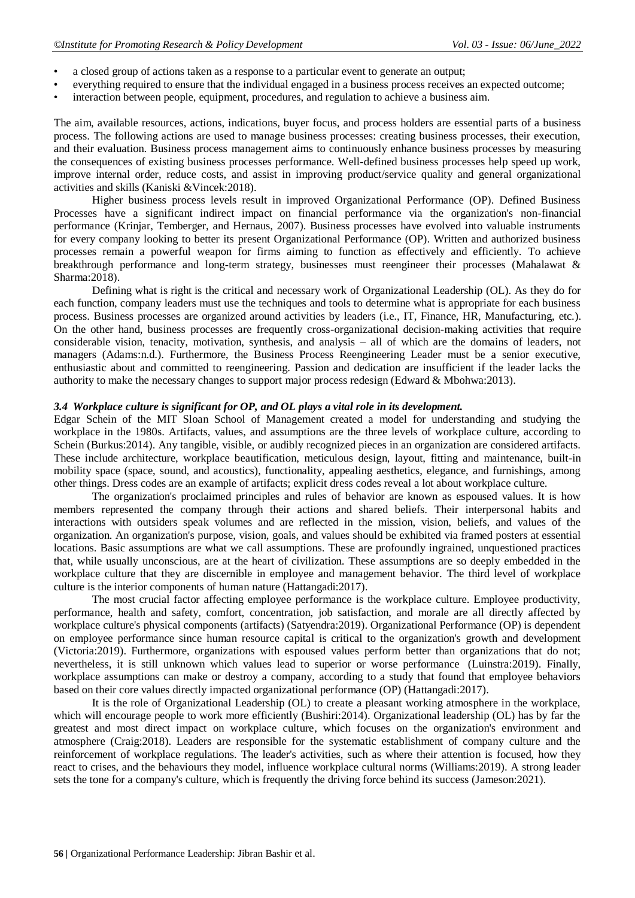- a closed group of actions taken as a response to a particular event to generate an output;
- everything required to ensure that the individual engaged in a business process receives an expected outcome;
- interaction between people, equipment, procedures, and regulation to achieve a business aim.

The aim, available resources, actions, indications, buyer focus, and process holders are essential parts of a business process. The following actions are used to manage business processes: creating business processes, their execution, and their evaluation. Business process management aims to continuously enhance business processes by measuring the consequences of existing business processes performance. Well-defined business processes help speed up work, improve internal order, reduce costs, and assist in improving product/service quality and general organizational activities and skills (Kaniski &Vincek:2018).

Higher business process levels result in improved Organizational Performance (OP). Defined Business Processes have a significant indirect impact on financial performance via the organization's non-financial performance (Krinjar, Temberger, and Hernaus, 2007). Business processes have evolved into valuable instruments for every company looking to better its present Organizational Performance (OP). Written and authorized business processes remain a powerful weapon for firms aiming to function as effectively and efficiently. To achieve breakthrough performance and long-term strategy, businesses must reengineer their processes (Mahalawat & Sharma:2018).

Defining what is right is the critical and necessary work of Organizational Leadership (OL). As they do for each function, company leaders must use the techniques and tools to determine what is appropriate for each business process. Business processes are organized around activities by leaders (i.e., IT, Finance, HR, Manufacturing, etc.). On the other hand, business processes are frequently cross-organizational decision-making activities that require considerable vision, tenacity, motivation, synthesis, and analysis – all of which are the domains of leaders, not managers (Adams:n.d.). Furthermore, the Business Process Reengineering Leader must be a senior executive, enthusiastic about and committed to reengineering. Passion and dedication are insufficient if the leader lacks the authority to make the necessary changes to support major process redesign (Edward & Mbohwa:2013).

#### *3.4 Workplace culture is significant for OP, and OL plays a vital role in its development.*

Edgar Schein of the MIT Sloan School of Management created a model for understanding and studying the workplace in the 1980s. Artifacts, values, and assumptions are the three levels of workplace culture, according to Schein (Burkus: 2014). Any tangible, visible, or audibly recognized pieces in an organization are considered artifacts. These include architecture, workplace beautification, meticulous design, layout, fitting and maintenance, built-in mobility space (space, sound, and acoustics), functionality, appealing aesthetics, elegance, and furnishings, among other things. Dress codes are an example of artifacts; explicit dress codes reveal a lot about workplace culture.

The organization's proclaimed principles and rules of behavior are known as espoused values. It is how members represented the company through their actions and shared beliefs. Their interpersonal habits and interactions with outsiders speak volumes and are reflected in the mission, vision, beliefs, and values of the organization. An organization's purpose, vision, goals, and values should be exhibited via framed posters at essential locations. Basic assumptions are what we call assumptions. These are profoundly ingrained, unquestioned practices that, while usually unconscious, are at the heart of civilization. These assumptions are so deeply embedded in the workplace culture that they are discernible in employee and management behavior. The third level of workplace culture is the interior components of human nature (Hattangadi:2017).

The most crucial factor affecting employee performance is the workplace culture. Employee productivity, performance, health and safety, comfort, concentration, job satisfaction, and morale are all directly affected by workplace culture's physical components (artifacts) (Satyendra:2019). Organizational Performance (OP) is dependent on employee performance since human resource capital is critical to the organization's growth and development (Victoria:2019). Furthermore, organizations with espoused values perform better than organizations that do not; nevertheless, it is still unknown which values lead to superior or worse performance (Luinstra:2019). Finally, workplace assumptions can make or destroy a company, according to a study that found that employee behaviors based on their core values directly impacted organizational performance (OP) (Hattangadi:2017).

It is the role of Organizational Leadership (OL) to create a pleasant working atmosphere in the workplace, which will encourage people to work more efficiently (Bushiri:2014). Organizational leadership (OL) has by far the greatest and most direct impact on workplace culture, which focuses on the organization's environment and atmosphere (Craig:2018). Leaders are responsible for the systematic establishment of company culture and the reinforcement of workplace regulations. The leader's activities, such as where their attention is focused, how they react to crises, and the behaviours they model, influence workplace cultural norms (Williams:2019). A strong leader sets the tone for a company's culture, which is frequently the driving force behind its success (Jameson:2021).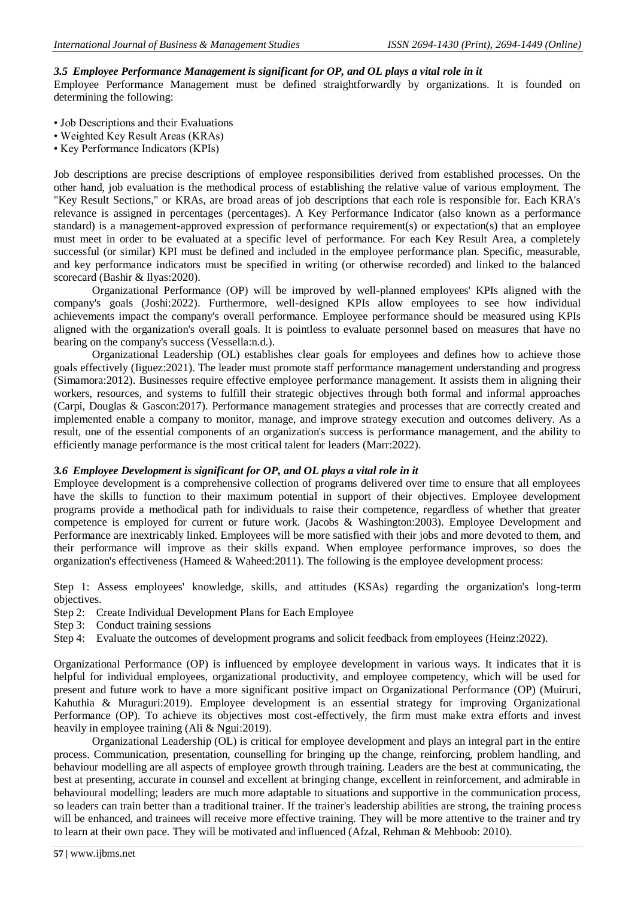#### *3.5 Employee Performance Management is significant for OP, and OL plays a vital role in it*

Employee Performance Management must be defined straightforwardly by organizations. It is founded on determining the following:

- Job Descriptions and their Evaluations
- Weighted Key Result Areas (KRAs)
- Key Performance Indicators (KPIs)

Job descriptions are precise descriptions of employee responsibilities derived from established processes. On the other hand, job evaluation is the methodical process of establishing the relative value of various employment. The "Key Result Sections," or KRAs, are broad areas of job descriptions that each role is responsible for. Each KRA's relevance is assigned in percentages (percentages). A Key Performance Indicator (also known as a performance standard) is a management-approved expression of performance requirement(s) or expectation(s) that an employee must meet in order to be evaluated at a specific level of performance. For each Key Result Area, a completely successful (or similar) KPI must be defined and included in the employee performance plan. Specific, measurable, and key performance indicators must be specified in writing (or otherwise recorded) and linked to the balanced scorecard (Bashir & Ilyas:2020).

Organizational Performance (OP) will be improved by well-planned employees' KPIs aligned with the company's goals (Joshi:2022). Furthermore, well-designed KPIs allow employees to see how individual achievements impact the company's overall performance. Employee performance should be measured using KPIs aligned with the organization's overall goals. It is pointless to evaluate personnel based on measures that have no bearing on the company's success (Vessella:n.d.).

Organizational Leadership (OL) establishes clear goals for employees and defines how to achieve those goals effectively (Iiguez:2021). The leader must promote staff performance management understanding and progress (Simamora:2012). Businesses require effective employee performance management. It assists them in aligning their workers, resources, and systems to fulfill their strategic objectives through both formal and informal approaches (Carpi, Douglas & Gascon:2017). Performance management strategies and processes that are correctly created and implemented enable a company to monitor, manage, and improve strategy execution and outcomes delivery. As a result, one of the essential components of an organization's success is performance management, and the ability to efficiently manage performance is the most critical talent for leaders (Marr:2022).

#### *3.6 Employee Development is significant for OP, and OL plays a vital role in it*

Employee development is a comprehensive collection of programs delivered over time to ensure that all employees have the skills to function to their maximum potential in support of their objectives. Employee development programs provide a methodical path for individuals to raise their competence, regardless of whether that greater competence is employed for current or future work. (Jacobs & Washington:2003). Employee Development and Performance are inextricably linked. Employees will be more satisfied with their jobs and more devoted to them, and their performance will improve as their skills expand. When employee performance improves, so does the organization's effectiveness (Hameed & Waheed:2011). The following is the employee development process:

Step 1: Assess employees' knowledge, skills, and attitudes (KSAs) regarding the organization's long-term objectives.

- Step 2: Create Individual Development Plans for Each Employee
- Step 3: Conduct training sessions
- Step 4: Evaluate the outcomes of development programs and solicit feedback from employees (Heinz:2022).

Organizational Performance (OP) is influenced by employee development in various ways. It indicates that it is helpful for individual employees, organizational productivity, and employee competency, which will be used for present and future work to have a more significant positive impact on Organizational Performance (OP) (Muiruri, Kahuthia & Muraguri:2019). Employee development is an essential strategy for improving Organizational Performance (OP). To achieve its objectives most cost-effectively, the firm must make extra efforts and invest heavily in employee training (Ali & Ngui:2019).

Organizational Leadership (OL) is critical for employee development and plays an integral part in the entire process. Communication, presentation, counselling for bringing up the change, reinforcing, problem handling, and behaviour modelling are all aspects of employee growth through training. Leaders are the best at communicating, the best at presenting, accurate in counsel and excellent at bringing change, excellent in reinforcement, and admirable in behavioural modelling; leaders are much more adaptable to situations and supportive in the communication process, so leaders can train better than a traditional trainer. If the trainer's leadership abilities are strong, the training process will be enhanced, and trainees will receive more effective training. They will be more attentive to the trainer and try to learn at their own pace. They will be motivated and influenced (Afzal, Rehman & Mehboob: 2010).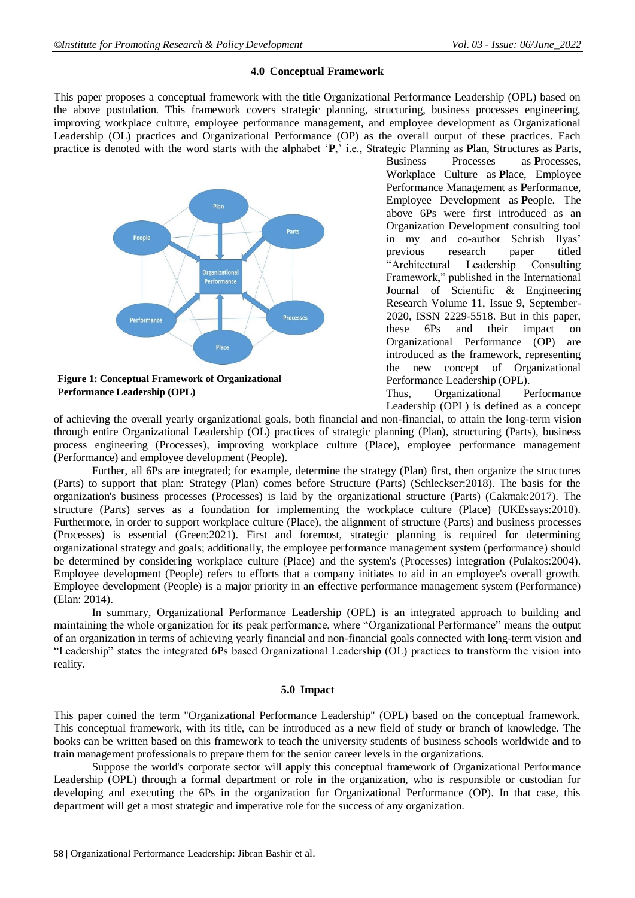#### **4.0 Conceptual Framework**

This paper proposes a conceptual framework with the title Organizational Performance Leadership (OPL) based on the above postulation. This framework covers strategic planning, structuring, business processes engineering, improving workplace culture, employee performance management, and employee development as Organizational Leadership (OL) practices and Organizational Performance (OP) as the overall output of these practices. Each practice is denoted with the word starts with the alphabet '**P**,' i.e., Strategic Planning as **P**lan, Structures as **P**arts,



**Performance Leadership (OPL)**

Business Processes as **P**rocesses, Workplace Culture as **P**lace, Employee Performance Management as **P**erformance, Employee Development as **P**eople. The above 6Ps were first introduced as an Organization Development consulting tool in my and co-author Sehrish Ilyas' previous research paper titled "Architectural Leadership Consulting Framework," published in the International Journal of Scientific & Engineering Research Volume 11, Issue 9, September-2020, ISSN 2229-5518. But in this paper, these 6Ps and their impact on Organizational Performance (OP) are introduced as the framework, representing the new concept of Organizational Performance Leadership (OPL).

Thus, Organizational Performance Leadership (OPL) is defined as a concept

of achieving the overall yearly organizational goals, both financial and non-financial, to attain the long-term vision through entire Organizational Leadership (OL) practices of strategic planning (Plan), structuring (Parts), business process engineering (Processes), improving workplace culture (Place), employee performance management (Performance) and employee development (People).

Further, all 6Ps are integrated; for example, determine the strategy (Plan) first, then organize the structures (Parts) to support that plan: Strategy (Plan) comes before Structure (Parts) (Schleckser:2018). The basis for the organization's business processes (Processes) is laid by the organizational structure (Parts) (Cakmak:2017). The structure (Parts) serves as a foundation for implementing the workplace culture (Place) (UKEssays:2018). Furthermore, in order to support workplace culture (Place), the alignment of structure (Parts) and business processes (Processes) is essential (Green:2021). First and foremost, strategic planning is required for determining organizational strategy and goals; additionally, the employee performance management system (performance) should be determined by considering workplace culture (Place) and the system's (Processes) integration (Pulakos:2004). Employee development (People) refers to efforts that a company initiates to aid in an employee's overall growth. Employee development (People) is a major priority in an effective performance management system (Performance) (Elan: 2014).

In summary, Organizational Performance Leadership (OPL) is an integrated approach to building and maintaining the whole organization for its peak performance, where "Organizational Performance" means the output of an organization in terms of achieving yearly financial and non-financial goals connected with long-term vision and "Leadership" states the integrated 6Ps based Organizational Leadership (OL) practices to transform the vision into reality.

#### **5.0 Impact**

This paper coined the term "Organizational Performance Leadership" (OPL) based on the conceptual framework. This conceptual framework, with its title, can be introduced as a new field of study or branch of knowledge. The books can be written based on this framework to teach the university students of business schools worldwide and to train management professionals to prepare them for the senior career levels in the organizations.

Suppose the world's corporate sector will apply this conceptual framework of Organizational Performance Leadership (OPL) through a formal department or role in the organization, who is responsible or custodian for developing and executing the 6Ps in the organization for Organizational Performance (OP). In that case, this department will get a most strategic and imperative role for the success of any organization.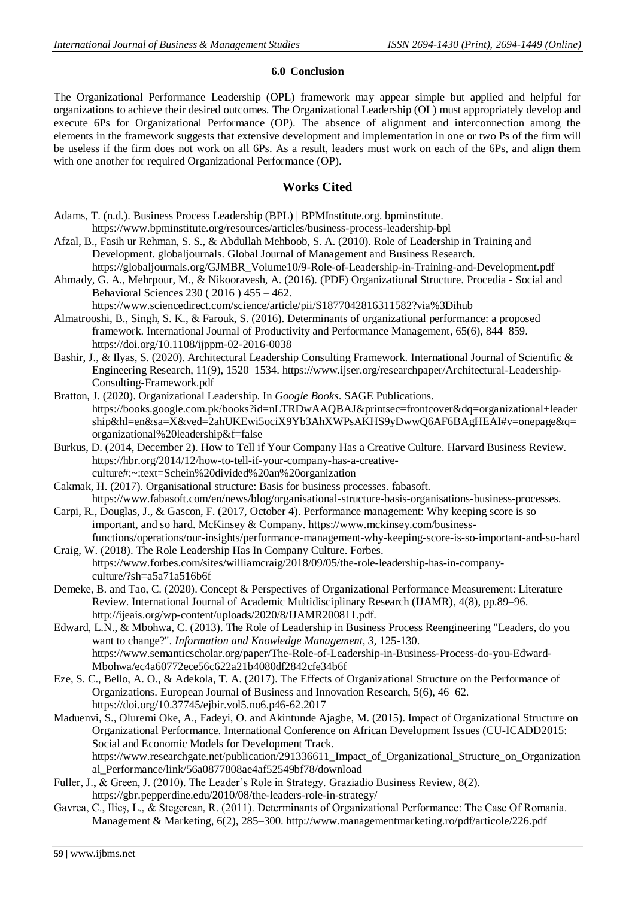#### **6.0 Conclusion**

The Organizational Performance Leadership (OPL) framework may appear simple but applied and helpful for organizations to achieve their desired outcomes. The Organizational Leadership (OL) must appropriately develop and execute 6Ps for Organizational Performance (OP). The absence of alignment and interconnection among the elements in the framework suggests that extensive development and implementation in one or two Ps of the firm will be useless if the firm does not work on all 6Ps. As a result, leaders must work on each of the 6Ps, and align them with one another for required Organizational Performance (OP).

#### **Works Cited**

- Adams, T. (n.d.). Business Process Leadership (BPL) | BPMInstitute.org. bpminstitute. <https://www.bpminstitute.org/resources/articles/business-process-leadership-bpl>
- Afzal, B., Fasih ur Rehman, S. S., & Abdullah Mehboob, S. A. (2010). Role of Leadership in Training and Development. globaljournals. Global Journal of Management and Business Research.
- https://globaljournals.org/GJMBR\_Volume10/9-Role-of-Leadership-in-Training-and-Development.pdf Ahmady, G. A., Mehrpour, M., & Nikooravesh, A. (2016). (PDF) Organizational Structure. Procedia - Social and Behavioral Sciences 230 ( 2016 ) 455 – 462.
	- https://www.sciencedirect.com/science/article/pii/S1877042816311582?via%3Dihub
- Almatrooshi, B., Singh, S. K., & Farouk, S. (2016). Determinants of organizational performance: a proposed framework. International Journal of Productivity and Performance Management, 65(6), 844–859. <https://doi.org/10.1108/ijppm-02-2016-0038>
- Bashir, J., & Ilyas, S. (2020). Architectural Leadership Consulting Framework. International Journal of Scientific & Engineering Research, 11(9), 1520–1534[. https://www.ijser.org/researchpaper/Architectural-Leadership-](https://www.ijser.org/researchpaper/Architectural-Leadership-Consulting-Framework.pdf)[Consulting-Framework.pdf](https://www.ijser.org/researchpaper/Architectural-Leadership-Consulting-Framework.pdf)
- Bratton, J. (2020). Organizational Leadership. In *Google Books*. SAGE Publications. [https://books.google.com.pk/books?id=nLTRDwAAQBAJ&printsec=frontcover&dq=organizational+leader](https://books.google.com.pk/books?id=nLTRDwAAQBAJ&printsec=frontcover&dq=organizational+leadership&hl=en&sa=X&ved=2ahUKEwi5ociX9Yb3AhXWPsAKHS9yDwwQ6AF6BAgHEAI#v=onepage&q=organizational%20leadership&f=false) [ship&hl=en&sa=X&ved=2ahUKEwi5ociX9Yb3AhXWPsAKHS9yDwwQ6AF6BAgHEAI#v=onepage&q=](https://books.google.com.pk/books?id=nLTRDwAAQBAJ&printsec=frontcover&dq=organizational+leadership&hl=en&sa=X&ved=2ahUKEwi5ociX9Yb3AhXWPsAKHS9yDwwQ6AF6BAgHEAI#v=onepage&q=organizational%20leadership&f=false) [organizational%20leadership&f=false](https://books.google.com.pk/books?id=nLTRDwAAQBAJ&printsec=frontcover&dq=organizational+leadership&hl=en&sa=X&ved=2ahUKEwi5ociX9Yb3AhXWPsAKHS9yDwwQ6AF6BAgHEAI#v=onepage&q=organizational%20leadership&f=false)
- Burkus, D. (2014, December 2). How to Tell if Your Company Has a Creative Culture. Harvard Business Review. https://hbr.org/2014/12/how-to-tell-if-your-company-has-a-creativeculture#:~:text=Schein%20divided%20an%20organization
- Cakmak, H. (2017). Organisational structure: Basis for business processes. fabasoft. [https://www.fabasoft.com/en/news/blog/organisational-structure-basis-organisations-business-processes.](https://www.fabasoft.com/en/news/blog/organisational-structure-basis-organisations-business-processes)
- Carpi, R., Douglas, J., & Gascon, F. (2017, October 4). Performance management: Why keeping score is so important, and so hard. McKinsey & Company. [https://www.mckinsey.com/business](https://www.mckinsey.com/business-functions/operations/our-insights/performance-management-why-keeping-score-is-so-important-and-so-hard)[functions/operations/our-insights/performance-management-why-keeping-score-is-so-important-and-so-hard](https://www.mckinsey.com/business-functions/operations/our-insights/performance-management-why-keeping-score-is-so-important-and-so-hard)
- Craig, W. (2018). The Role Leadership Has In Company Culture. Forbes. [https://www.forbes.com/sites/williamcraig/2018/09/05/the-role-leadership-has-in-company](https://www.forbes.com/sites/williamcraig/2018/09/05/the-role-leadership-has-in-company-culture/?sh=a5a71a516b6f)[culture/?sh=a5a71a516b6f](https://www.forbes.com/sites/williamcraig/2018/09/05/the-role-leadership-has-in-company-culture/?sh=a5a71a516b6f)
- Demeke, B. and Tao, C. (2020). Concept & Perspectives of Organizational Performance Measurement: Literature Review. International Journal of Academic Multidisciplinary Research (IJAMR), 4(8), pp.89–96. http://ijeais.org/wp-content/uploads/2020/8/IJAMR200811.pdf.
- Edward, L.N., & Mbohwa, C. (2013). The Role of Leadership in Business Process Reengineering "Leaders, do you want to change?". *Information and Knowledge Management, 3,* 125-130. [https://www.semanticscholar.org/paper/The-Role-of-Leadership-in-Business-Process-do-you-Edward-](https://www.semanticscholar.org/paper/The-Role-of-Leadership-in-Business-Process-do-you-Edward-Mbohwa/ec4a60772ece56c622a21b4080df2842cfe34b6f)[Mbohwa/ec4a60772ece56c622a21b4080df2842cfe34b6f](https://www.semanticscholar.org/paper/The-Role-of-Leadership-in-Business-Process-do-you-Edward-Mbohwa/ec4a60772ece56c622a21b4080df2842cfe34b6f)
- Eze, S. C., Bello, A. O., & Adekola, T. A. (2017). The Effects of Organizational Structure on the Performance of Organizations. European Journal of Business and Innovation Research, 5(6), 46–62. <https://doi.org/10.37745/ejbir.vol5.no6.p46-62.2017>
- Maduenvi, S., Oluremi Oke, A., Fadeyi, O. and Akintunde Ajagbe, M. (2015). Impact of Organizational Structure on Organizational Performance. International Conference on African Development Issues (CU-ICADD2015: Social and Economic Models for Development Track. [https://www.researchgate.net/publication/291336611\\_Impact\\_of\\_Organizational\\_Structure\\_on\\_Organization](https://www.researchgate.net/publication/291336611_Impact_of_Organizational_Structure_on_Organizational_Performance/link/56a0877808ae4af52549bf78/download) [al\\_Performance/link/56a0877808ae4af52549bf78/download](https://www.researchgate.net/publication/291336611_Impact_of_Organizational_Structure_on_Organizational_Performance/link/56a0877808ae4af52549bf78/download)
- Fuller, J., & Green, J. (2010). The Leader's Role in Strategy. Graziadio Business Review, 8(2). <https://gbr.pepperdine.edu/2010/08/the-leaders-role-in-strategy/>
- Gavrea, C., Ilieş, L., & Stegerean, R. (2011). Determinants of Organizational Performance: The Case Of Romania. Management & Marketing, 6(2), 285–300[. http://www.managementmarketing.ro/pdf/articole/226.pdf](http://www.managementmarketing.ro/pdf/articole/226.pdf)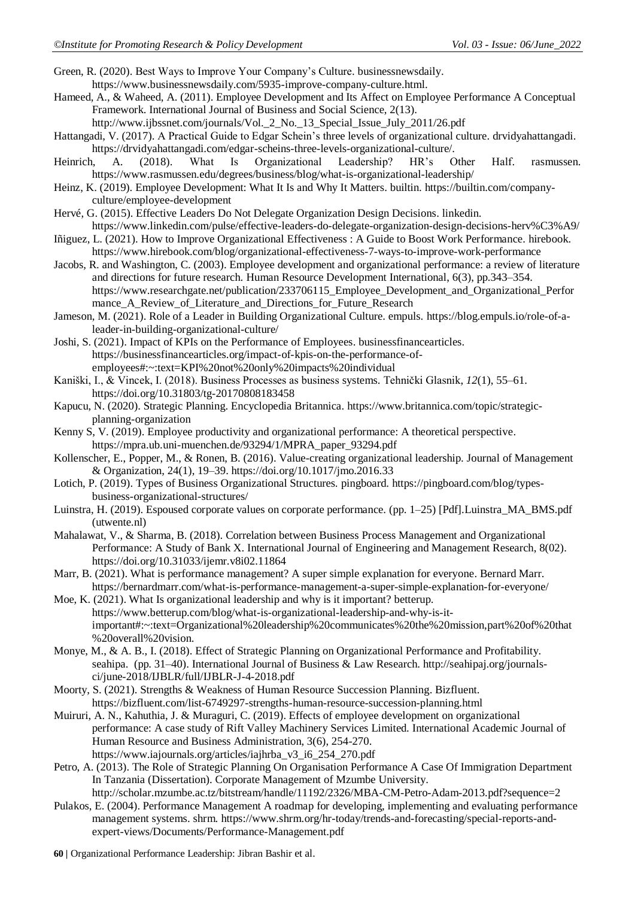Green, R. (2020). Best Ways to Improve Your Company's Culture. [businessnewsdaily.](businessnewsdaily)

- [https://www.businessnewsdaily.com/5935-improve-company-culture.html.](https://www.businessnewsdaily.com/5935-improve-company-culture.html)
- Hameed, A., & Waheed, A. (2011). Employee Development and Its Affect on Employee Performance A Conceptual Framework. International Journal of Business and Social Science, 2(13).

http://www.ijbssnet.com/journals/Vol. 2 No. 13 Special Issue July 2011/26.pdf

Hattangadi, V. (2017). A Practical Guide to Edgar Schein's three levels of organizational culture. drvidyahattangadi. [https://drvidyahattangadi.com/edgar-scheins-three-levels-organizational-culture/.](https://drvidyahattangadi.com/edgar-scheins-three-levels-organizational-culture/)

Heinrich, A. (2018). What Is Organizational Leadership? HR's Other Half. rasmussen. <https://www.rasmussen.edu/degrees/business/blog/what-is-organizational-leadership/>

Heinz, K. (2019). Employee Development: What It Is and Why It Matters. builtin. https://builtin.com/companyculture/employee-development

- Hervé, G. (2015). Effective Leaders Do Not Delegate Organization Design Decisions. linkedin. <https://www.linkedin.com/pulse/effective-leaders-do-delegate-organization-design-decisions-herv%C3%A9/>
- Iñiguez, L. (2021). How to Improve Organizational Effectiveness : A Guide to Boost Work Performance. hirebook. <https://www.hirebook.com/blog/organizational-effectiveness-7-ways-to-improve-work-performance>
- Jacobs, R. and Washington, C. (2003). Employee development and organizational performance: a review of literature and directions for future research. Human Resource Development International, 6(3), pp.343–354. [https://www.researchgate.net/publication/233706115\\_Employee\\_Development\\_and\\_Organizational\\_Perfor](https://www.researchgate.net/publication/233706115_Employee_Development_and_Organizational_Performance_A_Review_of_Literature_and_Directions_for_Future_Research) [mance\\_A\\_Review\\_of\\_Literature\\_and\\_Directions\\_for\\_Future\\_Research](https://www.researchgate.net/publication/233706115_Employee_Development_and_Organizational_Performance_A_Review_of_Literature_and_Directions_for_Future_Research)
- Jameson, M. (2021). Role of a Leader in Building Organizational Culture. empuls. [https://blog.empuls.io/role-of-a](https://blog.empuls.io/role-of-a-leader-in-building-organizational-culture/)[leader-in-building-organizational-culture/](https://blog.empuls.io/role-of-a-leader-in-building-organizational-culture/)
- Joshi, S. (2021). Impact of KPIs on the Performance of Employees. businessfinancearticles. [https://businessfinancearticles.org/impact-of-kpis-on-the-performance-of](https://businessfinancearticles.org/impact-of-kpis-on-the-performance-of-employees#:~:text=KPI%20not%20only%20impacts%20individual)[employees#:~:text=KPI%20not%20only%20impacts%20individual](https://businessfinancearticles.org/impact-of-kpis-on-the-performance-of-employees#:~:text=KPI%20not%20only%20impacts%20individual)
- Kaniški, I., & Vincek, I. (2018). Business Processes as business systems. Tehnički Glasnik, *12*(1), 55–61. <https://doi.org/10.31803/tg-20170808183458>
- Kapucu, N. (2020). Strategic Planning. Encyclopedia Britannica. [https://www.britannica.com/topic/strategic](https://www.britannica.com/topic/strategic-planning-organization)[planning-organization](https://www.britannica.com/topic/strategic-planning-organization)
- Kenny S, V. (2019). Employee productivity and organizational performance: A theoretical perspective. [https://mpra.ub.uni-muenchen.de/93294/1/MPRA\\_paper\\_93294.pdf](https://mpra.ub.uni-muenchen.de/93294/1/MPRA_paper_93294.pdf)
- Kollenscher, E., Popper, M., & Ronen, B. (2016). Value-creating organizational leadership. Journal of Management & Organization, 24(1), 19–39. https://doi.org/10.1017/jmo.2016.33
- Lotich, P. (2019). Types of Business Organizational Structures*.* pingboard. [https://pingboard.com/blog/types](https://pingboard.com/blog/types-business-organizational-structures/)[business-organizational-structures/](https://pingboard.com/blog/types-business-organizational-structures/)
- Luinstra, H. (2019). Espoused corporate values on corporate performance*.* (pp. 1–25) [Pdf][.Luinstra\\_MA\\_BMS.pdf](https://essay.utwente.nl/78004/1/Luinstra_MA_BMS.pdf)  [\(utwente.nl\)](https://essay.utwente.nl/78004/1/Luinstra_MA_BMS.pdf)
- Mahalawat, V., & Sharma, B. (2018). Correlation between Business Process Management and Organizational Performance: A Study of Bank X. International Journal of Engineering and Management Research, 8(02). <https://doi.org/10.31033/ijemr.v8i02.11864>
- Marr, B. (2021). What is performance management? A super simple explanation for everyone. Bernard Marr. <https://bernardmarr.com/what-is-performance-management-a-super-simple-explanation-for-everyone/>
- Moe, K. (2021). What Is organizational leadership and why is it important? betterup. [https://www.betterup.com/blog/what-is-organizational-leadership-and-why-is-it](https://www.betterup.com/blog/what-is-organizational-leadership-and-why-is-it-important#:~:text=Organizational%20leadership%20communicates%20the%20mission,part%20of%20that%20overall%20vision)[important#:~:text=Organizational%20leadership%20communicates%20the%20mission,part%20of%20that](https://www.betterup.com/blog/what-is-organizational-leadership-and-why-is-it-important#:~:text=Organizational%20leadership%20communicates%20the%20mission,part%20of%20that%20overall%20vision) [%20overall%20vision.](https://www.betterup.com/blog/what-is-organizational-leadership-and-why-is-it-important#:~:text=Organizational%20leadership%20communicates%20the%20mission,part%20of%20that%20overall%20vision)
- Monye, M., & A. B., I. (2018). Effect of Strategic Planning on Organizational Performance and Profitability. seahipa. (pp. 31–40). International Journal of Business & Law Research. http://seahipaj.org/journalsci/june-2018/IJBLR/full/IJBLR-J-4-2018.pdf
- Moorty, S. (2021). Strengths & Weakness of Human Resource Succession Planning. Bizfluent. <https://bizfluent.com/list-6749297-strengths-human-resource-succession-planning.html>
- Muiruri, A. N., Kahuthia, J. & Muraguri, C. (2019). Effects of employee development on organizational performance: A case study of Rift Valley Machinery Services Limited. International Academic Journal of Human Resource and Business Administration, 3(6), 254-270. [https://www.iajournals.org/articles/iajhrba\\_v3\\_i6\\_254\\_270.pdf](https://www.iajournals.org/articles/iajhrba_v3_i6_254_270.pdf)
- Petro, A. (2013). The Role of Strategic Planning On Organisation Performance A Case Of Immigration Department In Tanzania (Dissertation). Corporate Management of Mzumbe University. <http://scholar.mzumbe.ac.tz/bitstream/handle/11192/2326/MBA-CM-Petro-Adam-2013.pdf?sequence=2>
- Pulakos, E. (2004). Performance Management A roadmap for developing, implementing and evaluating performance management systems. shrm. https://www.shrm.org/hr-today/trends-and-forecasting/special-reports-andexpert-views/Documents/Performance-Management.pdf